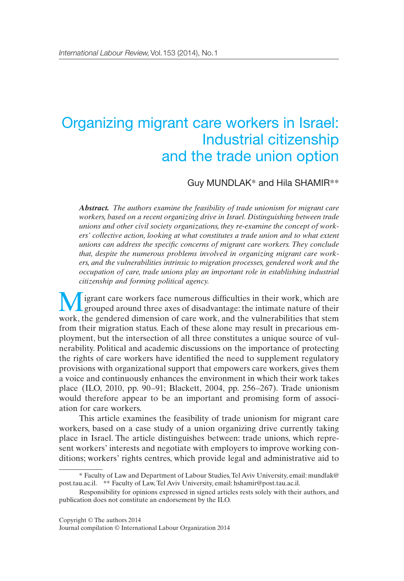# Organizing migrant care workers in Israel: Industrial citizenship and the trade union option

#### Guy MUNDLAK\* and Hila SHAMIR\*\*

*Abstract. The authors examine the feasibility of trade unionism for migrant care workers, based on a recent organizing drive in Israel. Distinguishing between trade unions and other civil society organizations, they re-examine the concept of workers' collective action, looking at what constitutes a trade union and to what extent unions can address the specific concerns of migrant care workers. They conclude that, despite the numerous problems involved in organizing migrant care workers, and the vulnerabilities intrinsic to migration processes, gendered work and the occupation of care, trade unions play an important role in establishing industrial citizenship and forming political agency.* 

igrant care workers face numerous difficulties in their work, which are grouped around three axes of disadvantage: the intimate nature of their work, the gendered dimension of care work, and the vulnerabilities that stem from their migration status. Each of these alone may result in precarious employment, but the intersection of all three constitutes a unique source of vulnerability. Political and academic discussions on the importance of protecting the rights of care workers have identified the need to supplement regulatory provisions with organizational support that empowers care workers, gives them a voice and continuously enhances the environment in which their work takes place (ILO, 2010, pp. 90–91; Blackett, 2004, pp. 256–267). Trade unionism would therefore appear to be an important and promising form of association for care workers.

This article examines the feasibility of trade unionism for migrant care workers, based on a case study of a union organizing drive currently taking place in Israel. The article distinguishes between: trade unions, which represent workers' interests and negotiate with employers to improve working conditions; workers' rights centres, which provide legal and administrative aid to

Journal compilation © International Labour Organization 2014

<sup>\*</sup> Faculty of Law and Department of Labour Studies, Tel Aviv University, email: mundlak@ post.tau.ac.il. \*\* Faculty of Law, Tel Aviv University, email: hshamir@post.tau.ac.il.

Responsibility for opinions expressed in signed articles rests solely with their authors, and publication does not constitute an endorsement by the ILO.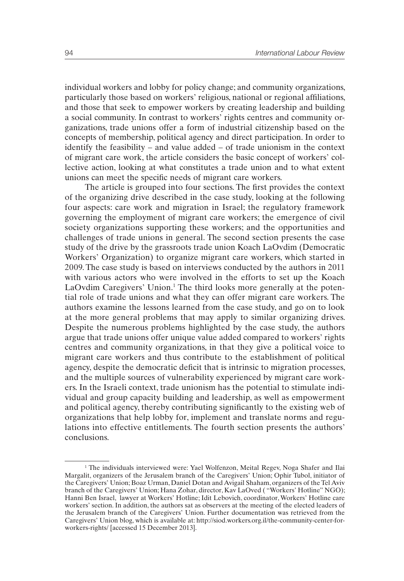individual workers and lobby for policy change; and community organizations, particularly those based on workers' religious, national or regional affiliations, and those that seek to empower workers by creating leadership and building a social community. In contrast to workers' rights centres and community organizations, trade unions offer a form of industrial citizenship based on the concepts of membership, political agency and direct participation. In order to identify the feasibility – and value added – of trade unionism in the context of migrant care work, the article considers the basic concept of workers' collective action, looking at what constitutes a trade union and to what extent unions can meet the specific needs of migrant care workers.

The article is grouped into four sections. The first provides the context of the organizing drive described in the case study, looking at the following four aspects: care work and migration in Israel; the regulatory framework governing the employment of migrant care workers; the emergence of civil society organizations supporting these workers; and the opportunities and challenges of trade unions in general. The second section presents the case study of the drive by the grassroots trade union Koach LaOvdim (Democratic Workers' Organization) to organize migrant care workers, which started in 2009. The case study is based on interviews conducted by the authors in 2011 with various actors who were involved in the efforts to set up the Koach LaOvdim Caregivers' Union.<sup>1</sup> The third looks more generally at the potential role of trade unions and what they can offer migrant care workers. The authors examine the lessons learned from the case study, and go on to look at the more general problems that may apply to similar organizing drives. Despite the numerous problems highlighted by the case study, the authors argue that trade unions offer unique value added compared to workers' rights centres and community organizations, in that they give a political voice to migrant care workers and thus contribute to the establishment of political agency, despite the democratic deficit that is intrinsic to migration processes, and the multiple sources of vulnerability experienced by migrant care workers. In the Israeli context, trade unionism has the potential to stimulate individual and group capacity building and leadership, as well as empowerment and political agency, thereby contributing significantly to the existing web of organizations that help lobby for, implement and translate norms and regulations into effective entitlements. The fourth section presents the authors' conclusions.

<sup>&</sup>lt;sup>1</sup> The individuals interviewed were: Yael Wolfenzon, Meital Regev, Noga Shafer and Ilai Margalit, organizers of the Jerusalem branch of the Caregivers' Union; Ophir Tubol, initiator of the Caregivers' Union; Boaz Urman, Daniel Dotan and Avigail Shaham, organizers of the Tel Aviv branch of the Caregivers' Union; Hana Zohar, director, Kav LaOved ( "Workers' Hotline" NGO); Hanni Ben Israel, lawyer at Workers' Hotline; Idit Lebovich, coordinator, Workers' Hotline care workers' section. In addition, the authors sat as observers at the meeting of the elected leaders of the Jerusalem branch of the Caregivers' Union. Further documentation was retrieved from the Caregivers' Union blog, which is available at: http://siod.workers.org.il/the-community-center-forworkers-rights/ [accessed 15 December 2013].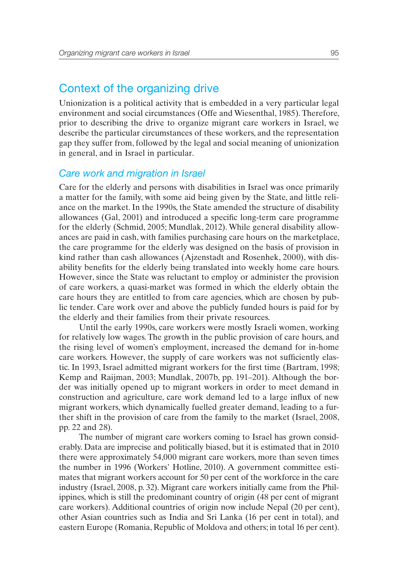# Context of the organizing drive

Unionization is a political activity that is embedded in a very particular legal environment and social circumstances (Offe and Wiesenthal, 1985). Therefore, prior to describing the drive to organize migrant care workers in Israel, we describe the particular circumstances of these workers, and the representation gap they suffer from, followed by the legal and social meaning of unionization in general, and in Israel in particular.

#### *Care work and migration in Israel*

Care for the elderly and persons with disabilities in Israel was once primarily a matter for the family, with some aid being given by the State, and little reliance on the market. In the 1990s, the State amended the structure of disability allowances (Gal, 2001) and introduced a specific long-term care programme for the elderly (Schmid, 2005; Mundlak, 2012). While general disability allowances are paid in cash, with families purchasing care hours on the marketplace, the care programme for the elderly was designed on the basis of provision in kind rather than cash allowances (Ajzenstadt and Rosenhek, 2000), with disability benefits for the elderly being translated into weekly home care hours. However, since the State was reluctant to employ or administer the provision of care workers, a quasi-market was formed in which the elderly obtain the care hours they are entitled to from care agencies, which are chosen by public tender. Care work over and above the publicly funded hours is paid for by the elderly and their families from their private resources.

Until the early 1990s, care workers were mostly Israeli women, working for relatively low wages. The growth in the public provision of care hours, and the rising level of women's employment, increased the demand for in-home care workers. However, the supply of care workers was not sufficiently elastic. In 1993, Israel admitted migrant workers for the first time (Bartram, 1998; Kemp and Raijman, 2003; Mundlak, 2007b, pp. 191–201). Although the border was initially opened up to migrant workers in order to meet demand in construction and agriculture, care work demand led to a large influx of new migrant workers, which dynamically fuelled greater demand, leading to a further shift in the provision of care from the family to the market (Israel, 2008, pp. 22 and 28).

The number of migrant care workers coming to Israel has grown considerably. Data are imprecise and politically biased, but it is estimated that in 2010 there were approximately 54,000 migrant care workers, more than seven times the number in 1996 (Workers' Hotline, 2010). A government committee estimates that migrant workers account for 50 per cent of the workforce in the care industry (Israel, 2008, p. 32). Migrant care workers initially came from the Philippines, which is still the predominant country of origin (48 per cent of migrant care workers). Additional countries of origin now include Nepal (20 per cent), other Asian countries such as India and Sri Lanka (16 per cent in total), and eastern Europe (Romania, Republic of Moldova and others; in total 16 per cent).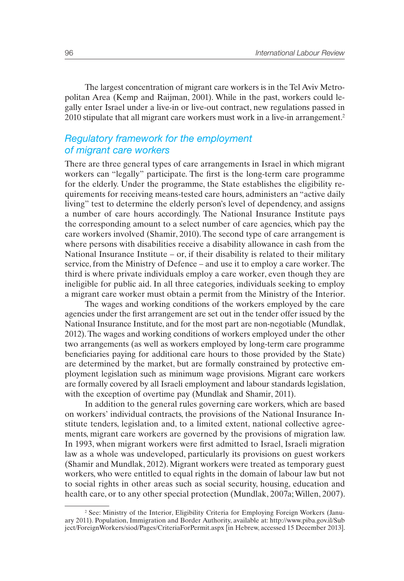The largest concentration of migrant care workers is in the Tel Aviv Metropolitan Area (Kemp and Raijman, 2001). While in the past, workers could legally enter Israel under a live-in or live-out contract, new regulations passed in 2010 stipulate that all migrant care workers must work in a live-in arrangement.<sup>2</sup>

### *Regulatory framework for the employment of migrant care workers*

There are three general types of care arrangements in Israel in which migrant workers can "legally" participate. The first is the long-term care programme for the elderly. Under the programme, the State establishes the eligibility requirements for receiving means-tested care hours, administers an "active daily living" test to determine the elderly person's level of dependency, and assigns a number of care hours accordingly. The National Insurance Institute pays the corresponding amount to a select number of care agencies, which pay the care workers involved (Shamir, 2010). The second type of care arrangement is where persons with disabilities receive a disability allowance in cash from the National Insurance Institute – or, if their disability is related to their military service, from the Ministry of Defence – and use it to employ a care worker. The third is where private individuals employ a care worker, even though they are ineligible for public aid. In all three categories, individuals seeking to employ a migrant care worker must obtain a permit from the Ministry of the Interior.

The wages and working conditions of the workers employed by the care agencies under the first arrangement are set out in the tender offer issued by the National Insurance Institute, and for the most part are non-negotiable (Mundlak, 2012). The wages and working conditions of workers employed under the other two arrangements (as well as workers employed by long-term care programme beneficiaries paying for additional care hours to those provided by the State) are determined by the market, but are formally constrained by protective employment legislation such as minimum wage provisions. Migrant care workers are formally covered by all Israeli employment and labour standards legislation, with the exception of overtime pay (Mundlak and Shamir, 2011).

In addition to the general rules governing care workers, which are based on workers' individual contracts, the provisions of the National Insurance Institute tenders, legislation and, to a limited extent, national collective agreements, migrant care workers are governed by the provisions of migration law. In 1993, when migrant workers were first admitted to Israel, Israeli migration law as a whole was undeveloped, particularly its provisions on guest workers (Shamir and Mundlak, 2012). Migrant workers were treated as temporary guest workers, who were entitled to equal rights in the domain of labour law but not to social rights in other areas such as social security, housing, education and health care, or to any other special protection (Mundlak, 2007a; Willen, 2007).

<sup>2</sup> See: Ministry of the Interior, Eligibility Criteria for Employing Foreign Workers (January 2011). Population, Immigration and Border Authority, available at: http://www.piba.gov.il/Sub ject/ForeignWorkers/siod/Pages/CriteriaForPermit.aspx [in Hebrew, accessed 15 December 2013].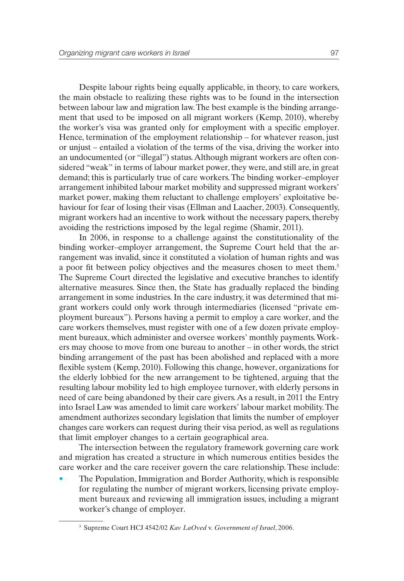Despite labour rights being equally applicable, in theory, to care workers, the main obstacle to realizing these rights was to be found in the intersection between labour law and migration law. The best example is the binding arrangement that used to be imposed on all migrant workers (Kemp, 2010), whereby the worker's visa was granted only for employment with a specific employer. Hence, termination of the employment relationship – for whatever reason, just or unjust – entailed a violation of the terms of the visa, driving the worker into an undocumented (or "illegal") status. Although migrant workers are often considered "weak" in terms of labour market power, they were, and still are, in great demand; this is particularly true of care workers. The binding worker–employer arrangement inhibited labour market mobility and suppressed migrant workers' market power, making them reluctant to challenge employers' exploitative behaviour for fear of losing their visas (Ellman and Laacher, 2003). Consequently, migrant workers had an incentive to work without the necessary papers, thereby avoiding the restrictions imposed by the legal regime (Shamir, 2011).

In 2006, in response to a challenge against the constitutionality of the binding worker–employer arrangement, the Supreme Court held that the arrangement was invalid, since it constituted a violation of human rights and was a poor fit between policy objectives and the measures chosen to meet them.<sup>3</sup> The Supreme Court directed the legislative and executive branches to identify alternative measures. Since then, the State has gradually replaced the binding arrangement in some industries. In the care industry, it was determined that migrant workers could only work through intermediaries (licensed "private employment bureaux"). Persons having a permit to employ a care worker, and the care workers themselves, must register with one of a few dozen private employment bureaux, which administer and oversee workers' monthly payments. Workers may choose to move from one bureau to another – in other words, the strict binding arrangement of the past has been abolished and replaced with a more flexible system (Kemp, 2010). Following this change, however, organizations for the elderly lobbied for the new arrangement to be tightened, arguing that the resulting labour mobility led to high employee turnover, with elderly persons in need of care being abandoned by their care givers. As a result, in 2011 the Entry into Israel Law was amended to limit care workers' labour market mobility. The amendment authorizes secondary legislation that limits the number of employer changes care workers can request during their visa period, as well as regulations that limit employer changes to a certain geographical area.

The intersection between the regulatory framework governing care work and migration has created a structure in which numerous entities besides the care worker and the care receiver govern the care relationship. These include:

The Population, Immigration and Border Authority, which is responsible for regulating the number of migrant workers, licensing private employment bureaux and reviewing all immigration issues, including a migrant worker's change of employer.

<sup>3</sup> Supreme Court HCJ 4542/02 *Kav LaOved* v. *Government of Israel*, 2006.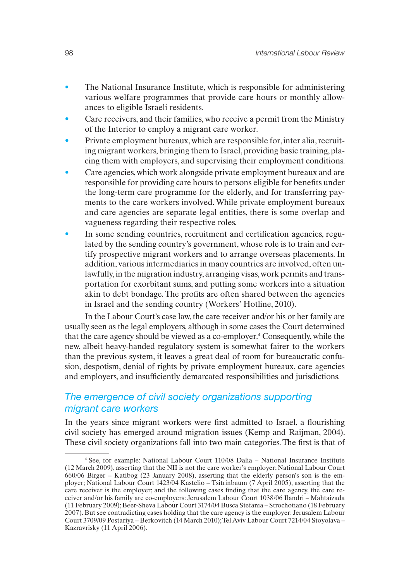- The National Insurance Institute, which is responsible for administering various welfare programmes that provide care hours or monthly allowances to eligible Israeli residents.
- Care receivers, and their families, who receive a permit from the Ministry of the Interior to employ a migrant care worker.
- Private employment bureaux, which are responsible for, inter alia, recruiting migrant workers, bringing them to Israel, providing basic training, placing them with employers, and supervising their employment conditions.
- Care agencies, which work alongside private employment bureaux and are responsible for providing care hours to persons eligible for benefits under the long-term care programme for the elderly, and for transferring payments to the care workers involved. While private employment bureaux and care agencies are separate legal entities, there is some overlap and vagueness regarding their respective roles.
- In some sending countries, recruitment and certification agencies, regulated by the sending country's government, whose role is to train and certify prospective migrant workers and to arrange overseas placements. In addition, various intermediaries in many countries are involved, often unlawfully, in the migration industry, arranging visas, work permits and transportation for exorbitant sums, and putting some workers into a situation akin to debt bondage. The profits are often shared between the agencies in Israel and the sending country (Workers' Hotline, 2010).

In the Labour Court's case law, the care receiver and/or his or her family are usually seen as the legal employers, although in some cases the Court determined that the care agency should be viewed as a co-employer.<sup>4</sup> Consequently, while the new, albeit heavy-handed regulatory system is somewhat fairer to the workers than the previous system, it leaves a great deal of room for bureaucratic confusion, despotism, denial of rights by private employment bureaux, care agencies and employers, and insufficiently demarcated responsibilities and jurisdictions.

## *The emergence of civil society organizations supporting migrant care workers*

In the years since migrant workers were first admitted to Israel, a flourishing civil society has emerged around migration issues (Kemp and Raijman, 2004). These civil society organizations fall into two main categories. The first is that of

<sup>4</sup> See, for example: National Labour Court 110/08 Dalia – National Insurance Institute (12 March 2009), asserting that the NII is not the care worker's employer; National Labour Court 660/06 Birger – Katibog (23 January 2008), asserting that the elderly person's son is the employer; National Labour Court 1423/04 Kastelio – Tsitrinbaum (7 April 2005), asserting that the care receiver is the employer; and the following cases finding that the care agency, the care receiver and/or his family are co-employers: Jerusalem Labour Court 1038/06 Ilandri – Mahtaizada (11 February 2009); Beer-Sheva Labour Court 3174/04 Busca Stefania – Strochotiano (18 February 2007). But see contradicting cases holding that the care agency is the employer: Jerusalem Labour Court 3709/09 Postariya – Berkovitch (14 March 2010); Tel Aviv Labour Court 7214/04 Stoyolava – Kazravrisky (11 April 2006).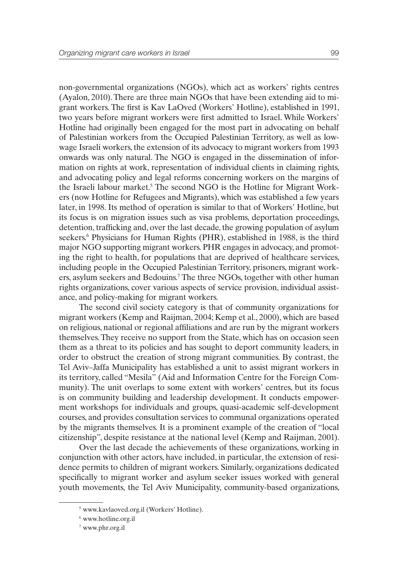non-governmental organizations (NGOs), which act as workers' rights centres (Ayalon, 2010). There are three main NGOs that have been extending aid to migrant workers. The first is Kav LaOved (Workers' Hotline), established in 1991, two years before migrant workers were first admitted to Israel. While Workers' Hotline had originally been engaged for the most part in advocating on behalf of Palestinian workers from the Occupied Palestinian Territory, as well as lowwage Israeli workers, the extension of its advocacy to migrant workers from 1993 onwards was only natural. The NGO is engaged in the dissemination of information on rights at work, representation of individual clients in claiming rights, and advocating policy and legal reforms concerning workers on the margins of the Israeli labour market.<sup>5</sup> The second NGO is the Hotline for Migrant Workers (now Hotline for Refugees and Migrants), which was established a few years later, in 1998. Its method of operation is similar to that of Workers' Hotline, but its focus is on migration issues such as visa problems, deportation proceedings, detention, trafficking and, over the last decade, the growing population of asylum seekers.<sup>6</sup> Physicians for Human Rights (PHR), established in 1988, is the third major NGO supporting migrant workers. PHR engages in advocacy, and promoting the right to health, for populations that are deprived of healthcare services, including people in the Occupied Palestinian Territory, prisoners, migrant workers, asylum seekers and Bedouins.7 The three NGOs, together with other human rights organizations, cover various aspects of service provision, individual assistance, and policy-making for migrant workers.

The second civil society category is that of community organizations for migrant workers (Kemp and Raijman, 2004; Kemp et al., 2000), which are based on religious, national or regional affiliations and are run by the migrant workers themselves. They receive no support from the State, which has on occasion seen them as a threat to its policies and has sought to deport community leaders, in order to obstruct the creation of strong migrant communities. By contrast, the Tel Aviv–Jaffa Municipality has established a unit to assist migrant workers in its territory, called "Mesila" (Aid and Information Centre for the Foreign Community). The unit overlaps to some extent with workers' centres, but its focus is on community building and leadership development. It conducts empowerment workshops for individuals and groups, quasi-academic self-development courses, and provides consultation services to communal organizations operated by the migrants themselves. It is a prominent example of the creation of "local citizenship", despite resistance at the national level (Kemp and Raijman, 2001).

Over the last decade the achievements of these organizations, working in conjunction with other actors, have included, in particular, the extension of residence permits to children of migrant workers. Similarly, organizations dedicated specifically to migrant worker and asylum seeker issues worked with general youth movements, the Tel Aviv Municipality, community-based organizations,

<sup>5</sup> www.kavlaoved.org.il (Workers' Hotline).

<sup>6</sup> www.hotline.org.il

<sup>7</sup> www.phr.org.il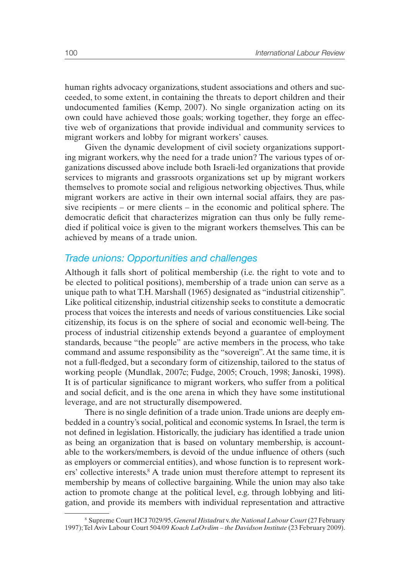human rights advocacy organizations, student associations and others and succeeded, to some extent, in containing the threats to deport children and their undocumented families (Kemp, 2007). No single organization acting on its own could have achieved those goals; working together, they forge an effective web of organizations that provide individual and community services to migrant workers and lobby for migrant workers' causes.

Given the dynamic development of civil society organizations supporting migrant workers, why the need for a trade union? The various types of organizations discussed above include both Israeli-led organizations that provide services to migrants and grassroots organizations set up by migrant workers themselves to promote social and religious networking objectives. Thus, while migrant workers are active in their own internal social affairs, they are passive recipients – or mere clients – in the economic and political sphere. The democratic deficit that characterizes migration can thus only be fully remedied if political voice is given to the migrant workers themselves. This can be achieved by means of a trade union.

### *Trade unions: Opportunities and challenges*

Although it falls short of political membership (i.e. the right to vote and to be elected to political positions), membership of a trade union can serve as a unique path to what T.H. Marshall (1965) designated as "industrial citizenship". Like political citizenship, industrial citizenship seeks to constitute a democratic process that voices the interests and needs of various constituencies. Like social citizenship, its focus is on the sphere of social and economic well-being. The process of industrial citizenship extends beyond a guarantee of employment standards, because "the people" are active members in the process, who take command and assume responsibility as the "sovereign". At the same time, it is not a full-fledged, but a secondary form of citizenship, tailored to the status of working people (Mundlak, 2007c; Fudge, 2005; Crouch, 1998; Janoski, 1998). It is of particular significance to migrant workers, who suffer from a political and social deficit, and is the one arena in which they have some institutional leverage, and are not structurally disempowered.

There is no single definition of a trade union. Trade unions are deeply embedded in a country's social, political and economic systems. In Israel, the term is not defined in legislation. Historically, the judiciary has identified a trade union as being an organization that is based on voluntary membership, is accountable to the workers/members, is devoid of the undue influence of others (such as employers or commercial entities), and whose function is to represent workers' collective interests.<sup>8</sup> A trade union must therefore attempt to represent its membership by means of collective bargaining. While the union may also take action to promote change at the political level, e.g. through lobbying and litigation, and provide its members with individual representation and attractive

<sup>8</sup> Supreme Court HCJ 7029/95, *General Histadrut* v. *the National Labour Court* (27 February 1997); Tel Aviv Labour Court 504/09 *Koach LaOvdim – the Davidson Institute* (23 February 2009).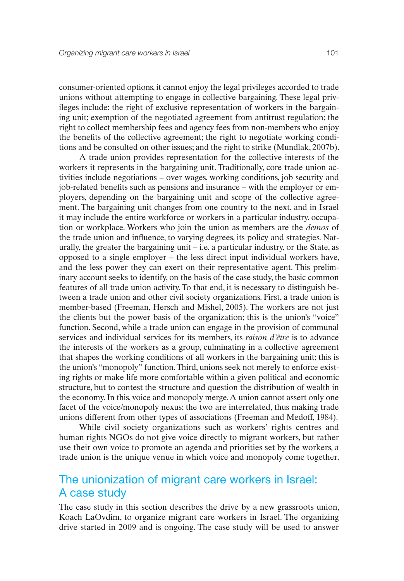consumer-oriented options, it cannot enjoy the legal privileges accorded to trade unions without attempting to engage in collective bargaining. These legal privileges include: the right of exclusive representation of workers in the bargaining unit; exemption of the negotiated agreement from antitrust regulation; the right to collect membership fees and agency fees from non-members who enjoy the benefits of the collective agreement; the right to negotiate working conditions and be consulted on other issues; and the right to strike (Mundlak, 2007b).

A trade union provides representation for the collective interests of the workers it represents in the bargaining unit. Traditionally, core trade union activities include negotiations – over wages, working conditions, job security and job-related benefits such as pensions and insurance – with the employer or employers, depending on the bargaining unit and scope of the collective agreement. The bargaining unit changes from one country to the next, and in Israel it may include the entire workforce or workers in a particular industry, occupation or workplace. Workers who join the union as members are the *demos* of the trade union and influence, to varying degrees, its policy and strategies. Naturally, the greater the bargaining unit  $-i.e.$  a particular industry, or the State, as opposed to a single employer – the less direct input individual workers have, and the less power they can exert on their representative agent. This preliminary account seeks to identify, on the basis of the case study, the basic common features of all trade union activity. To that end, it is necessary to distinguish between a trade union and other civil society organizations. First, a trade union is member-based (Freeman, Hersch and Mishel, 2005). The workers are not just the clients but the power basis of the organization; this is the union's "voice" function. Second, while a trade union can engage in the provision of communal services and individual services for its members, its *raison d'être* is to advance the interests of the workers as a group, culminating in a collective agreement that shapes the working conditions of all workers in the bargaining unit; this is the union's "monopoly" function. Third, unions seek not merely to enforce existing rights or make life more comfortable within a given political and economic structure, but to contest the structure and question the distribution of wealth in the economy. In this, voice and monopoly merge. A union cannot assert only one facet of the voice/monopoly nexus; the two are interrelated, thus making trade unions different from other types of associations (Freeman and Medoff, 1984).

While civil society organizations such as workers' rights centres and human rights NGOs do not give voice directly to migrant workers, but rather use their own voice to promote an agenda and priorities set by the workers, a trade union is the unique venue in which voice and monopoly come together.

# The unionization of migrant care workers in Israel: A case study

The case study in this section describes the drive by a new grassroots union, Koach LaOvdim, to organize migrant care workers in Israel. The organizing drive started in 2009 and is ongoing. The case study will be used to answer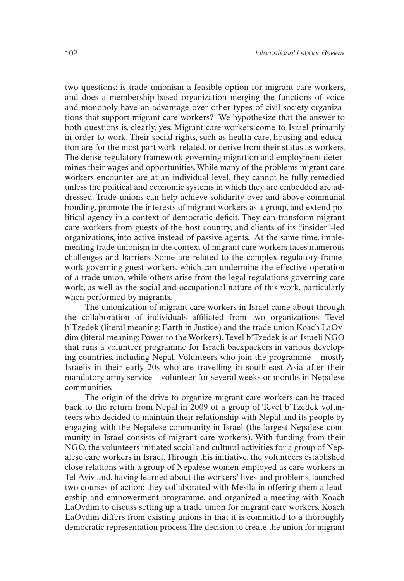two questions: is trade unionism a feasible option for migrant care workers, and does a membership-based organization merging the functions of voice and monopoly have an advantage over other types of civil society organizations that support migrant care workers? We hypothesize that the answer to both questions is, clearly, yes. Migrant care workers come to Israel primarily in order to work. Their social rights, such as health care, housing and education are for the most part work-related, or derive from their status as workers. The dense regulatory framework governing migration and employment determines their wages and opportunities. While many of the problems migrant care workers encounter are at an individual level, they cannot be fully remedied unless the political and economic systems in which they are embedded are addressed. Trade unions can help achieve solidarity over and above communal bonding, promote the interests of migrant workers as a group, and extend political agency in a context of democratic deficit. They can transform migrant care workers from guests of the host country, and clients of its "insider"-led organizations, into active instead of passive agents. At the same time, implementing trade unionism in the context of migrant care workers faces numerous challenges and barriers. Some are related to the complex regulatory framework governing guest workers, which can undermine the effective operation of a trade union, while others arise from the legal regulations governing care work, as well as the social and occupational nature of this work, particularly when performed by migrants.

The unionization of migrant care workers in Israel came about through the collaboration of individuals affiliated from two organizations: Tevel b'Tzedek (literal meaning: Earth in Justice) and the trade union Koach LaOvdim (literal meaning: Power to the Workers). Tevel b'Tzedek is an Israeli NGO that runs a volunteer programme for Israeli backpackers in various developing countries, including Nepal. Volunteers who join the programme – mostly Israelis in their early 20s who are travelling in south-east Asia after their mandatory army service – volunteer for several weeks or months in Nepalese communities.

The origin of the drive to organize migrant care workers can be traced back to the return from Nepal in 2009 of a group of Tevel b'Tzedek volunteers who decided to maintain their relationship with Nepal and its people by engaging with the Nepalese community in Israel (the largest Nepalese community in Israel consists of migrant care workers). With funding from their NGO, the volunteers initiated social and cultural activities for a group of Nepalese care workers in Israel. Through this initiative, the volunteers established close relations with a group of Nepalese women employed as care workers in Tel Aviv and, having learned about the workers' lives and problems, launched two courses of action: they collaborated with Mesila in offering them a leadership and empowerment programme, and organized a meeting with Koach LaOvdim to discuss setting up a trade union for migrant care workers. Koach LaOvdim differs from existing unions in that it is committed to a thoroughly democratic representation process. The decision to create the union for migrant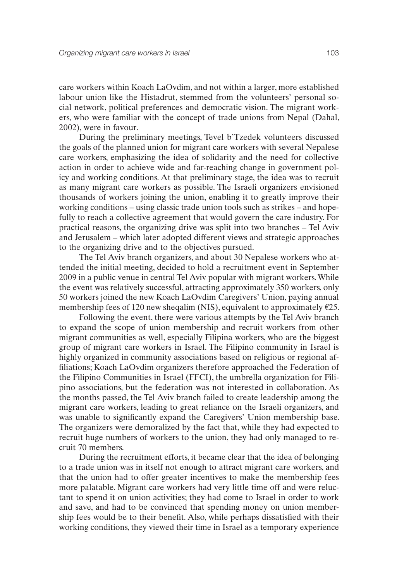care workers within Koach LaOvdim, and not within a larger, more established labour union like the Histadrut, stemmed from the volunteers' personal social network, political preferences and democratic vision. The migrant workers, who were familiar with the concept of trade unions from Nepal (Dahal, 2002), were in favour.

During the preliminary meetings, Tevel b'Tzedek volunteers discussed the goals of the planned union for migrant care workers with several Nepalese care workers, emphasizing the idea of solidarity and the need for collective action in order to achieve wide and far-reaching change in government policy and working conditions. At that preliminary stage, the idea was to recruit as many migrant care workers as possible. The Israeli organizers envisioned thousands of workers joining the union, enabling it to greatly improve their working conditions – using classic trade union tools such as strikes – and hopefully to reach a collective agreement that would govern the care industry. For practical reasons, the organizing drive was split into two branches – Tel Aviv and Jerusalem – which later adopted different views and strategic approaches to the organizing drive and to the objectives pursued.

The Tel Aviv branch organizers, and about 30 Nepalese workers who attended the initial meeting, decided to hold a recruitment event in September 2009 in a public venue in central Tel Aviv popular with migrant workers. While the event was relatively successful, attracting approximately 350 workers, only 50 workers joined the new Koach LaOvdim Caregivers' Union, paying annual membership fees of 120 new sheqalim (NIS), equivalent to approximately  $\epsilon$ 25.

Following the event, there were various attempts by the Tel Aviv branch to expand the scope of union membership and recruit workers from other migrant communities as well, especially Filipina workers, who are the biggest group of migrant care workers in Israel. The Filipino community in Israel is highly organized in community associations based on religious or regional affiliations; Koach LaOvdim organizers therefore approached the Federation of the Filipino Communities in Israel (FFCI), the umbrella organization for Filipino associations, but the federation was not interested in collaboration. As the months passed, the Tel Aviv branch failed to create leadership among the migrant care workers, leading to great reliance on the Israeli organizers, and was unable to significantly expand the Caregivers' Union membership base. The organizers were demoralized by the fact that, while they had expected to recruit huge numbers of workers to the union, they had only managed to recruit 70 members.

During the recruitment efforts, it became clear that the idea of belonging to a trade union was in itself not enough to attract migrant care workers, and that the union had to offer greater incentives to make the membership fees more palatable. Migrant care workers had very little time off and were reluctant to spend it on union activities; they had come to Israel in order to work and save, and had to be convinced that spending money on union membership fees would be to their benefit. Also, while perhaps dissatisfied with their working conditions, they viewed their time in Israel as a temporary experience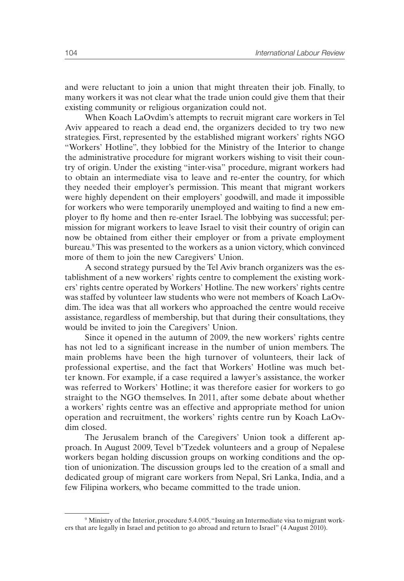and were reluctant to join a union that might threaten their job. Finally, to many workers it was not clear what the trade union could give them that their existing community or religious organization could not.

When Koach LaOvdim's attempts to recruit migrant care workers in Tel Aviv appeared to reach a dead end, the organizers decided to try two new strategies. First, represented by the established migrant workers' rights NGO "Workers' Hotline", they lobbied for the Ministry of the Interior to change the administrative procedure for migrant workers wishing to visit their country of origin. Under the existing "inter-visa" procedure, migrant workers had to obtain an intermediate visa to leave and re-enter the country, for which they needed their employer's permission. This meant that migrant workers were highly dependent on their employers' goodwill, and made it impossible for workers who were temporarily unemployed and waiting to find a new employer to fly home and then re-enter Israel. The lobbying was successful; permission for migrant workers to leave Israel to visit their country of origin can now be obtained from either their employer or from a private employment bureau.9 This was presented to the workers as a union victory, which convinced more of them to join the new Caregivers' Union.

A second strategy pursued by the Tel Aviv branch organizers was the establishment of a new workers' rights centre to complement the existing workers' rights centre operated by Workers' Hotline. The new workers' rights centre was staffed by volunteer law students who were not members of Koach LaOvdim. The idea was that all workers who approached the centre would receive assistance, regardless of membership, but that during their consultations, they would be invited to join the Caregivers' Union.

Since it opened in the autumn of 2009, the new workers' rights centre has not led to a significant increase in the number of union members. The main problems have been the high turnover of volunteers, their lack of professional expertise, and the fact that Workers' Hotline was much better known. For example, if a case required a lawyer's assistance, the worker was referred to Workers' Hotline; it was therefore easier for workers to go straight to the NGO themselves. In 2011, after some debate about whether a workers' rights centre was an effective and appropriate method for union operation and recruitment, the workers' rights centre run by Koach LaOvdim closed.

The Jerusalem branch of the Caregivers' Union took a different approach. In August 2009, Tevel b'Tzedek volunteers and a group of Nepalese workers began holding discussion groups on working conditions and the option of unionization. The discussion groups led to the creation of a small and dedicated group of migrant care workers from Nepal, Sri Lanka, India, and a few Filipina workers, who became committed to the trade union.

<sup>&</sup>lt;sup>9</sup> Ministry of the Interior, procedure 5.4.005, "Issuing an Intermediate visa to migrant workers that are legally in Israel and petition to go abroad and return to Israel" (4 August 2010).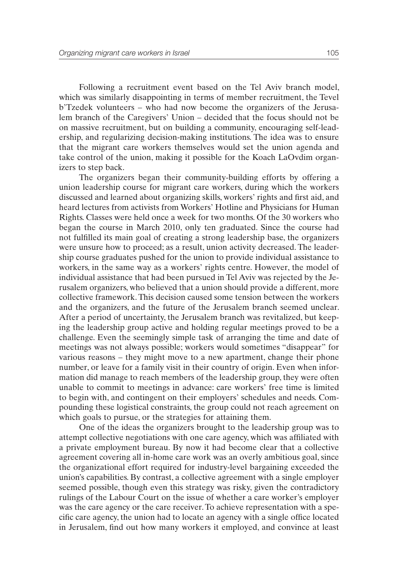Following a recruitment event based on the Tel Aviv branch model, which was similarly disappointing in terms of member recruitment, the Tevel b'Tzedek volunteers – who had now become the organizers of the Jerusalem branch of the Caregivers' Union – decided that the focus should not be on massive recruitment, but on building a community, encouraging self-leadership, and regularizing decision-making institutions. The idea was to ensure that the migrant care workers themselves would set the union agenda and take control of the union, making it possible for the Koach LaOvdim organizers to step back.

The organizers began their community-building efforts by offering a union leadership course for migrant care workers, during which the workers discussed and learned about organizing skills, workers' rights and first aid, and heard lectures from activists from Workers' Hotline and Physicians for Human Rights. Classes were held once a week for two months. Of the 30 workers who began the course in March 2010, only ten graduated. Since the course had not fulfilled its main goal of creating a strong leadership base, the organizers were unsure how to proceed; as a result, union activity decreased. The leadership course graduates pushed for the union to provide individual assistance to workers, in the same way as a workers' rights centre. However, the model of individual assistance that had been pursued in Tel Aviv was rejected by the Jerusalem organizers, who believed that a union should provide a different, more collective framework. This decision caused some tension between the workers and the organizers, and the future of the Jerusalem branch seemed unclear. After a period of uncertainty, the Jerusalem branch was revitalized, but keeping the leadership group active and holding regular meetings proved to be a challenge. Even the seemingly simple task of arranging the time and date of meetings was not always possible; workers would sometimes "disappear" for various reasons – they might move to a new apartment, change their phone number, or leave for a family visit in their country of origin. Even when information did manage to reach members of the leadership group, they were often unable to commit to meetings in advance: care workers' free time is limited to begin with, and contingent on their employers' schedules and needs. Compounding these logistical constraints, the group could not reach agreement on which goals to pursue, or the strategies for attaining them.

One of the ideas the organizers brought to the leadership group was to attempt collective negotiations with one care agency, which was affiliated with a private employment bureau. By now it had become clear that a collective agreement covering all in-home care work was an overly ambitious goal, since the organizational effort required for industry-level bargaining exceeded the union's capabilities. By contrast, a collective agreement with a single employer seemed possible, though even this strategy was risky, given the contradictory rulings of the Labour Court on the issue of whether a care worker's employer was the care agency or the care receiver. To achieve representation with a specific care agency, the union had to locate an agency with a single office located in Jerusalem, find out how many workers it employed, and convince at least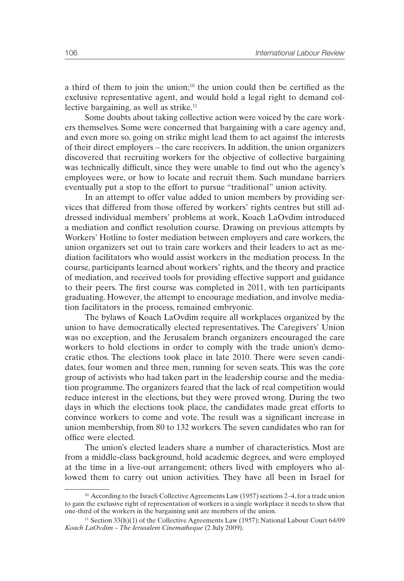a third of them to join the union;10 the union could then be certified as the exclusive representative agent, and would hold a legal right to demand collective bargaining, as well as strike.<sup>11</sup>

Some doubts about taking collective action were voiced by the care workers themselves. Some were concerned that bargaining with a care agency and, and even more so, going on strike might lead them to act against the interests of their direct employers – the care receivers. In addition, the union organizers discovered that recruiting workers for the objective of collective bargaining was technically difficult, since they were unable to find out who the agency's employees were, or how to locate and recruit them. Such mundane barriers eventually put a stop to the effort to pursue "traditional" union activity.

In an attempt to offer value added to union members by providing services that differed from those offered by workers' rights centres but still addressed individual members' problems at work, Koach LaOvdim introduced a mediation and conflict resolution course. Drawing on previous attempts by Workers' Hotline to foster mediation between employers and care workers, the union organizers set out to train care workers and their leaders to act as mediation facilitators who would assist workers in the mediation process. In the course, participants learned about workers' rights, and the theory and practice of mediation, and received tools for providing effective support and guidance to their peers. The first course was completed in 2011, with ten participants graduating. However, the attempt to encourage mediation, and involve mediation facilitators in the process, remained embryonic.

The bylaws of Koach LaOvdim require all workplaces organized by the union to have democratically elected representatives. The Caregivers' Union was no exception, and the Jerusalem branch organizers encouraged the care workers to hold elections in order to comply with the trade union's democratic ethos. The elections took place in late 2010. There were seven candidates, four women and three men, running for seven seats. This was the core group of activists who had taken part in the leadership course and the mediation programme. The organizers feared that the lack of real competition would reduce interest in the elections, but they were proved wrong. During the two days in which the elections took place, the candidates made great efforts to convince workers to come and vote. The result was a significant increase in union membership, from 80 to 132 workers. The seven candidates who ran for office were elected.

The union's elected leaders share a number of characteristics. Most are from a middle-class background, hold academic degrees, and were employed at the time in a live-out arrangement; others lived with employers who allowed them to carry out union activities. They have all been in Israel for

<sup>&</sup>lt;sup>10</sup> According to the Israeli Collective Agreements Law (1957) sections 2–4, for a trade union to gain the exclusive right of representation of workers in a single workplace it needs to show that one-third of the workers in the bargaining unit are members of the union.

<sup>&</sup>lt;sup>11</sup> Section 33(h)(1) of the Collective Agreements Law (1957); National Labour Court 64/09 *Koach LaOvdim – The Jerusalem Cinematheque* (2 July 2009).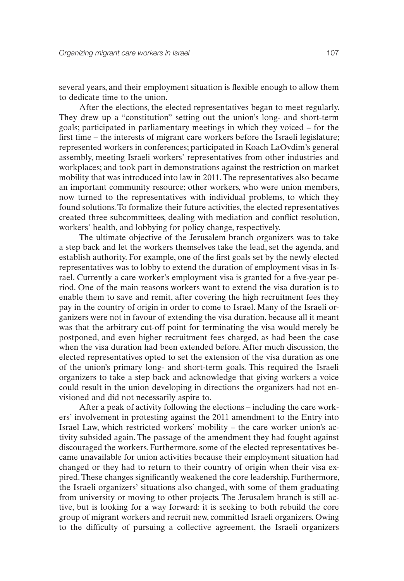several years, and their employment situation is flexible enough to allow them to dedicate time to the union.

After the elections, the elected representatives began to meet regularly. They drew up a "constitution" setting out the union's long- and short-term goals; participated in parliamentary meetings in which they voiced – for the first time – the interests of migrant care workers before the Israeli legislature; represented workers in conferences; participated in Koach LaOvdim's general assembly, meeting Israeli workers' representatives from other industries and workplaces; and took part in demonstrations against the restriction on market mobility that was introduced into law in 2011. The representatives also became an important community resource; other workers, who were union members, now turned to the representatives with individual problems, to which they found solutions. To formalize their future activities, the elected representatives created three subcommittees, dealing with mediation and conflict resolution, workers' health, and lobbying for policy change, respectively.

The ultimate objective of the Jerusalem branch organizers was to take a step back and let the workers themselves take the lead, set the agenda, and establish authority. For example, one of the first goals set by the newly elected representatives was to lobby to extend the duration of employment visas in Israel. Currently a care worker's employment visa is granted for a five-year period. One of the main reasons workers want to extend the visa duration is to enable them to save and remit, after covering the high recruitment fees they pay in the country of origin in order to come to Israel. Many of the Israeli organizers were not in favour of extending the visa duration, because all it meant was that the arbitrary cut-off point for terminating the visa would merely be postponed, and even higher recruitment fees charged, as had been the case when the visa duration had been extended before. After much discussion, the elected representatives opted to set the extension of the visa duration as one of the union's primary long- and short-term goals. This required the Israeli organizers to take a step back and acknowledge that giving workers a voice could result in the union developing in directions the organizers had not envisioned and did not necessarily aspire to.

After a peak of activity following the elections – including the care workers' involvement in protesting against the 2011 amendment to the Entry into Israel Law, which restricted workers' mobility – the care worker union's activity subsided again. The passage of the amendment they had fought against discouraged the workers. Furthermore, some of the elected representatives became unavailable for union activities because their employment situation had changed or they had to return to their country of origin when their visa expired. These changes significantly weakened the core leadership. Furthermore, the Israeli organizers' situations also changed, with some of them graduating from university or moving to other projects. The Jerusalem branch is still active, but is looking for a way forward: it is seeking to both rebuild the core group of migrant workers and recruit new, committed Israeli organizers. Owing to the difficulty of pursuing a collective agreement, the Israeli organizers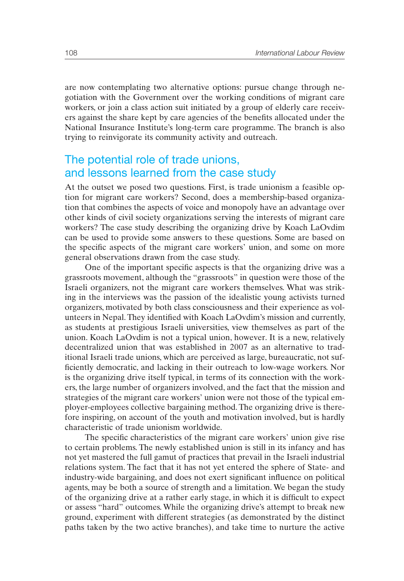are now contemplating two alternative options: pursue change through negotiation with the Government over the working conditions of migrant care workers, or join a class action suit initiated by a group of elderly care receivers against the share kept by care agencies of the benefits allocated under the National Insurance Institute's long-term care programme. The branch is also trying to reinvigorate its community activity and outreach.

# The potential role of trade unions, and lessons learned from the case study

At the outset we posed two questions. First, is trade unionism a feasible option for migrant care workers? Second, does a membership-based organization that combines the aspects of voice and monopoly have an advantage over other kinds of civil society organizations serving the interests of migrant care workers? The case study describing the organizing drive by Koach LaOvdim can be used to provide some answers to these questions. Some are based on the specific aspects of the migrant care workers' union, and some on more general observations drawn from the case study.

One of the important specific aspects is that the organizing drive was a grassroots movement, although the "grassroots" in question were those of the Israeli organizers, not the migrant care workers themselves. What was striking in the interviews was the passion of the idealistic young activists turned organizers, motivated by both class consciousness and their experience as volunteers in Nepal. They identified with Koach LaOvdim's mission and currently, as students at prestigious Israeli universities, view themselves as part of the union. Koach LaOvdim is not a typical union, however. It is a new, relatively decentralized union that was established in 2007 as an alternative to traditional Israeli trade unions, which are perceived as large, bureaucratic, not sufficiently democratic, and lacking in their outreach to low-wage workers. Nor is the organizing drive itself typical, in terms of its connection with the workers, the large number of organizers involved, and the fact that the mission and strategies of the migrant care workers' union were not those of the typical employer-employees collective bargaining method. The organizing drive is therefore inspiring, on account of the youth and motivation involved, but is hardly characteristic of trade unionism worldwide.

The specific characteristics of the migrant care workers' union give rise to certain problems. The newly established union is still in its infancy and has not yet mastered the full gamut of practices that prevail in the Israeli industrial relations system. The fact that it has not yet entered the sphere of State- and industry-wide bargaining, and does not exert significant influence on political agents, may be both a source of strength and a limitation. We began the study of the organizing drive at a rather early stage, in which it is difficult to expect or assess "hard" outcomes. While the organizing drive's attempt to break new ground, experiment with different strategies (as demonstrated by the distinct paths taken by the two active branches), and take time to nurture the active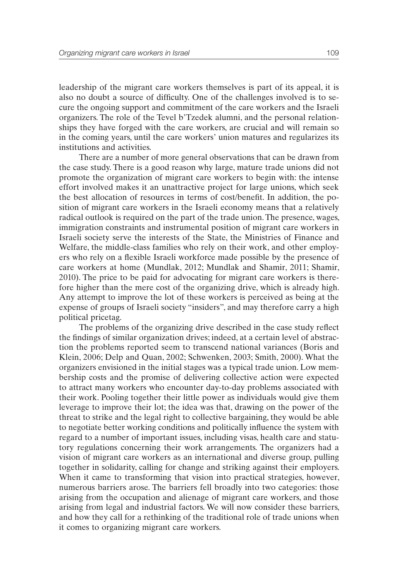leadership of the migrant care workers themselves is part of its appeal, it is also no doubt a source of difficulty. One of the challenges involved is to secure the ongoing support and commitment of the care workers and the Israeli organizers. The role of the Tevel b'Tzedek alumni, and the personal relationships they have forged with the care workers, are crucial and will remain so in the coming years, until the care workers' union matures and regularizes its institutions and activities.

There are a number of more general observations that can be drawn from the case study. There is a good reason why large, mature trade unions did not promote the organization of migrant care workers to begin with: the intense effort involved makes it an unattractive project for large unions, which seek the best allocation of resources in terms of cost/benefit. In addition, the position of migrant care workers in the Israeli economy means that a relatively radical outlook is required on the part of the trade union. The presence, wages, immigration constraints and instrumental position of migrant care workers in Israeli society serve the interests of the State, the Ministries of Finance and Welfare, the middle-class families who rely on their work, and other employers who rely on a flexible Israeli workforce made possible by the presence of care workers at home (Mundlak, 2012; Mundlak and Shamir, 2011; Shamir, 2010). The price to be paid for advocating for migrant care workers is therefore higher than the mere cost of the organizing drive, which is already high. Any attempt to improve the lot of these workers is perceived as being at the expense of groups of Israeli society "insiders", and may therefore carry a high political pricetag.

The problems of the organizing drive described in the case study reflect the findings of similar organization drives; indeed, at a certain level of abstraction the problems reported seem to transcend national variances (Boris and Klein, 2006; Delp and Quan, 2002; Schwenken, 2003; Smith, 2000). What the organizers envisioned in the initial stages was a typical trade union. Low membership costs and the promise of delivering collective action were expected to attract many workers who encounter day-to-day problems associated with their work. Pooling together their little power as individuals would give them leverage to improve their lot; the idea was that, drawing on the power of the threat to strike and the legal right to collective bargaining, they would be able to negotiate better working conditions and politically influence the system with regard to a number of important issues, including visas, health care and statutory regulations concerning their work arrangements. The organizers had a vision of migrant care workers as an international and diverse group, pulling together in solidarity, calling for change and striking against their employers. When it came to transforming that vision into practical strategies, however, numerous barriers arose. The barriers fell broadly into two categories: those arising from the occupation and alienage of migrant care workers, and those arising from legal and industrial factors. We will now consider these barriers, and how they call for a rethinking of the traditional role of trade unions when it comes to organizing migrant care workers.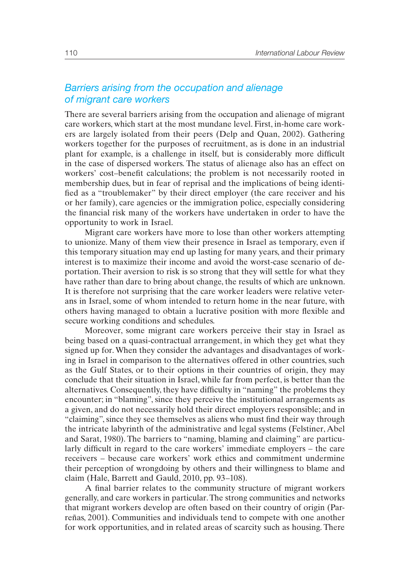## *Barriers arising from the occupation and alienage of migrant care workers*

There are several barriers arising from the occupation and alienage of migrant care workers, which start at the most mundane level. First, in-home care workers are largely isolated from their peers (Delp and Quan, 2002). Gathering workers together for the purposes of recruitment, as is done in an industrial plant for example, is a challenge in itself, but is considerably more difficult in the case of dispersed workers. The status of alienage also has an effect on workers' cost–benefit calculations; the problem is not necessarily rooted in membership dues, but in fear of reprisal and the implications of being identified as a "troublemaker" by their direct employer (the care receiver and his or her family), care agencies or the immigration police, especially considering the financial risk many of the workers have undertaken in order to have the opportunity to work in Israel.

Migrant care workers have more to lose than other workers attempting to unionize. Many of them view their presence in Israel as temporary, even if this temporary situation may end up lasting for many years, and their primary interest is to maximize their income and avoid the worst-case scenario of deportation. Their aversion to risk is so strong that they will settle for what they have rather than dare to bring about change, the results of which are unknown. It is therefore not surprising that the care worker leaders were relative veterans in Israel, some of whom intended to return home in the near future, with others having managed to obtain a lucrative position with more flexible and secure working conditions and schedules.

Moreover, some migrant care workers perceive their stay in Israel as being based on a quasi-contractual arrangement, in which they get what they signed up for. When they consider the advantages and disadvantages of working in Israel in comparison to the alternatives offered in other countries, such as the Gulf States, or to their options in their countries of origin, they may conclude that their situation in Israel, while far from perfect, is better than the alternatives. Consequently, they have difficulty in "naming" the problems they encounter; in "blaming", since they perceive the institutional arrangements as a given, and do not necessarily hold their direct employers responsible; and in "claiming", since they see themselves as aliens who must find their way through the intricate labyrinth of the administrative and legal systems (Felstiner, Abel and Sarat, 1980). The barriers to "naming, blaming and claiming" are particularly difficult in regard to the care workers' immediate employers – the care receivers – because care workers' work ethics and commitment undermine their perception of wrongdoing by others and their willingness to blame and claim (Hale, Barrett and Gauld, 2010, pp. 93–108).

A final barrier relates to the community structure of migrant workers generally, and care workers in particular. The strong communities and networks that migrant workers develop are often based on their country of origin (Parreñas, 2001). Communities and individuals tend to compete with one another for work opportunities, and in related areas of scarcity such as housing. There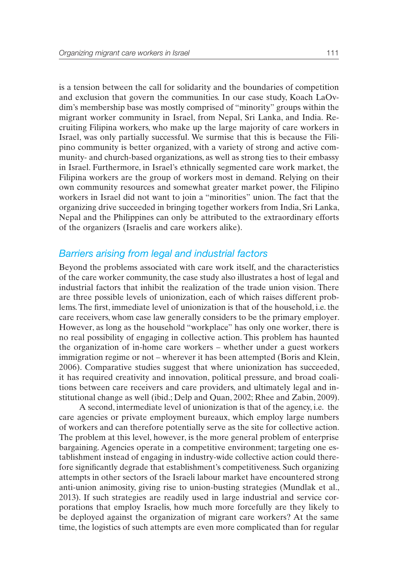is a tension between the call for solidarity and the boundaries of competition and exclusion that govern the communities. In our case study, Koach LaOvdim's membership base was mostly comprised of "minority" groups within the migrant worker community in Israel, from Nepal, Sri Lanka, and India. Recruiting Filipina workers, who make up the large majority of care workers in Israel, was only partially successful. We surmise that this is because the Filipino community is better organized, with a variety of strong and active community- and church-based organizations, as well as strong ties to their embassy in Israel. Furthermore, in Israel's ethnically segmented care work market, the Filipina workers are the group of workers most in demand. Relying on their own community resources and somewhat greater market power, the Filipino workers in Israel did not want to join a "minorities" union. The fact that the organizing drive succeeded in bringing together workers from India, Sri Lanka, Nepal and the Philippines can only be attributed to the extraordinary efforts of the organizers (Israelis and care workers alike).

### *Barriers arising from legal and industrial factors*

Beyond the problems associated with care work itself, and the characteristics of the care worker community, the case study also illustrates a host of legal and industrial factors that inhibit the realization of the trade union vision. There are three possible levels of unionization, each of which raises different problems. The first, immediate level of unionization is that of the household, i.e. the care receivers, whom case law generally considers to be the primary employer. However, as long as the household "workplace" has only one worker, there is no real possibility of engaging in collective action. This problem has haunted the organization of in-home care workers – whether under a guest workers immigration regime or not – wherever it has been attempted (Boris and Klein, 2006). Comparative studies suggest that where unionization has succeeded, it has required creativity and innovation, political pressure, and broad coalitions between care receivers and care providers, and ultimately legal and institutional change as well (ibid.; Delp and Quan, 2002; Rhee and Zabin, 2009).

A second, intermediate level of unionization is that of the agency, i.e. the care agencies or private employment bureaux, which employ large numbers of workers and can therefore potentially serve as the site for collective action. The problem at this level, however, is the more general problem of enterprise bargaining. Agencies operate in a competitive environment; targeting one establishment instead of engaging in industry-wide collective action could therefore significantly degrade that establishment's competitiveness. Such organizing attempts in other sectors of the Israeli labour market have encountered strong anti-union animosity, giving rise to union-busting strategies (Mundlak et al., 2013). If such strategies are readily used in large industrial and service corporations that employ Israelis, how much more forcefully are they likely to be deployed against the organization of migrant care workers? At the same time, the logistics of such attempts are even more complicated than for regular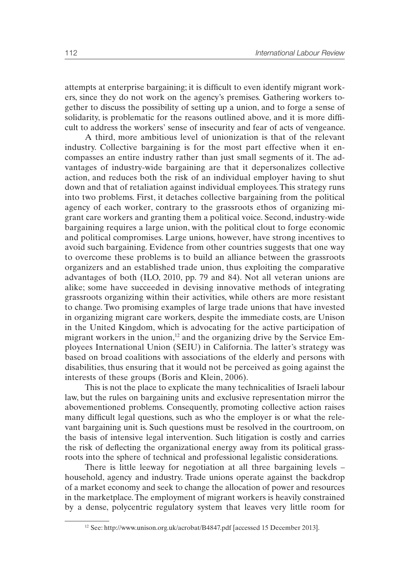attempts at enterprise bargaining; it is difficult to even identify migrant workers, since they do not work on the agency's premises. Gathering workers together to discuss the possibility of setting up a union, and to forge a sense of solidarity, is problematic for the reasons outlined above, and it is more difficult to address the workers' sense of insecurity and fear of acts of vengeance.

A third, more ambitious level of unionization is that of the relevant industry. Collective bargaining is for the most part effective when it encompasses an entire industry rather than just small segments of it. The advantages of industry-wide bargaining are that it depersonalizes collective action, and reduces both the risk of an individual employer having to shut down and that of retaliation against individual employees. This strategy runs into two problems. First, it detaches collective bargaining from the political agency of each worker, contrary to the grassroots ethos of organizing migrant care workers and granting them a political voice. Second, industry-wide bargaining requires a large union, with the political clout to forge economic and political compromises. Large unions, however, have strong incentives to avoid such bargaining. Evidence from other countries suggests that one way to overcome these problems is to build an alliance between the grassroots organizers and an established trade union, thus exploiting the comparative advantages of both (ILO, 2010, pp. 79 and 84). Not all veteran unions are alike; some have succeeded in devising innovative methods of integrating grassroots organizing within their activities, while others are more resistant to change. Two promising examples of large trade unions that have invested in organizing migrant care workers, despite the immediate costs, are Unison in the United Kingdom, which is advocating for the active participation of migrant workers in the union,<sup>12</sup> and the organizing drive by the Service Employees International Union (SEIU) in California. The latter's strategy was based on broad coalitions with associations of the elderly and persons with disabilities, thus ensuring that it would not be perceived as going against the interests of these groups (Boris and Klein, 2006).

This is not the place to explicate the many technicalities of Israeli labour law, but the rules on bargaining units and exclusive representation mirror the abovementioned problems. Consequently, promoting collective action raises many difficult legal questions, such as who the employer is or what the relevant bargaining unit is. Such questions must be resolved in the courtroom, on the basis of intensive legal intervention. Such litigation is costly and carries the risk of deflecting the organizational energy away from its political grassroots into the sphere of technical and professional legalistic considerations.

There is little leeway for negotiation at all three bargaining levels – household, agency and industry. Trade unions operate against the backdrop of a market economy and seek to change the allocation of power and resources in the marketplace. The employment of migrant workers is heavily constrained by a dense, polycentric regulatory system that leaves very little room for

<sup>12</sup> See: http://www.unison.org.uk/acrobat/B4847.pdf [accessed 15 December 2013].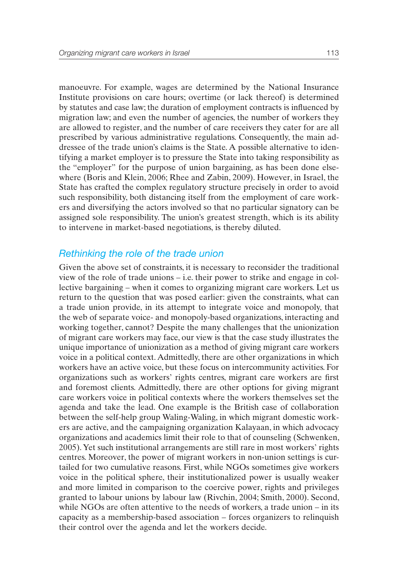manoeuvre. For example, wages are determined by the National Insurance Institute provisions on care hours; overtime (or lack thereof) is determined by statutes and case law; the duration of employment contracts is influenced by migration law; and even the number of agencies, the number of workers they are allowed to register, and the number of care receivers they cater for are all prescribed by various administrative regulations. Consequently, the main addressee of the trade union's claims is the State. A possible alternative to identifying a market employer is to pressure the State into taking responsibility as the "employer" for the purpose of union bargaining, as has been done elsewhere (Boris and Klein, 2006; Rhee and Zabin, 2009). However, in Israel, the State has crafted the complex regulatory structure precisely in order to avoid such responsibility, both distancing itself from the employment of care workers and diversifying the actors involved so that no particular signatory can be assigned sole responsibility. The union's greatest strength, which is its ability to intervene in market-based negotiations, is thereby diluted.

### *Rethinking the role of the trade union*

Given the above set of constraints, it is necessary to reconsider the traditional view of the role of trade unions – i.e. their power to strike and engage in collective bargaining – when it comes to organizing migrant care workers. Let us return to the question that was posed earlier: given the constraints, what can a trade union provide, in its attempt to integrate voice and monopoly, that the web of separate voice- and monopoly-based organizations, interacting and working together, cannot? Despite the many challenges that the unionization of migrant care workers may face, our view is that the case study illustrates the unique importance of unionization as a method of giving migrant care workers voice in a political context. Admittedly, there are other organizations in which workers have an active voice, but these focus on intercommunity activities. For organizations such as workers' rights centres, migrant care workers are first and foremost clients. Admittedly, there are other options for giving migrant care workers voice in political contexts where the workers themselves set the agenda and take the lead. One example is the British case of collaboration between the self-help group Waling-Waling, in which migrant domestic workers are active, and the campaigning organization Kalayaan, in which advocacy organizations and academics limit their role to that of counseling (Schwenken, 2005). Yet such institutional arrangements are still rare in most workers' rights centres. Moreover, the power of migrant workers in non-union settings is curtailed for two cumulative reasons. First, while NGOs sometimes give workers voice in the political sphere, their institutionalized power is usually weaker and more limited in comparison to the coercive power, rights and privileges granted to labour unions by labour law (Rivchin, 2004; Smith, 2000). Second, while NGOs are often attentive to the needs of workers, a trade union – in its capacity as a membership-based association – forces organizers to relinquish their control over the agenda and let the workers decide.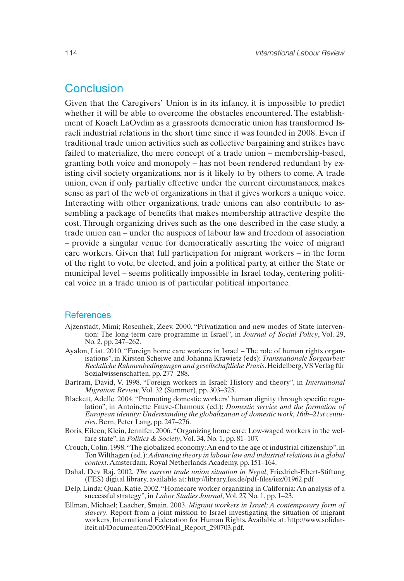# **Conclusion**

Given that the Caregivers' Union is in its infancy, it is impossible to predict whether it will be able to overcome the obstacles encountered. The establishment of Koach LaOvdim as a grassroots democratic union has transformed Israeli industrial relations in the short time since it was founded in 2008. Even if traditional trade union activities such as collective bargaining and strikes have failed to materialize, the mere concept of a trade union – membership-based, granting both voice and monopoly – has not been rendered redundant by existing civil society organizations, nor is it likely to by others to come. A trade union, even if only partially effective under the current circumstances, makes sense as part of the web of organizations in that it gives workers a unique voice. Interacting with other organizations, trade unions can also contribute to assembling a package of benefits that makes membership attractive despite the cost. Through organizing drives such as the one described in the case study, a trade union can – under the auspices of labour law and freedom of association – provide a singular venue for democratically asserting the voice of migrant care workers. Given that full participation for migrant workers – in the form of the right to vote, be elected, and join a political party, at either the State or municipal level – seems politically impossible in Israel today, centering political voice in a trade union is of particular political importance.

#### **References**

- Ajzenstadt, Mimi; Rosenhek, Zeev. 2000. "Privatization and new modes of State intervention: The long-term care programme in Israel", in *Journal of Social Policy*, Vol. 29, No. 2, pp. 247–262.
- Ayalon, Liat. 2010. "Foreign home care workers in Israel The role of human rights organisations", in Kirsten Scheiwe and Johanna Krawietz (eds): *Transnationale Sorgearbeit: Rechtliche Rahmenbedingungen und gesellschaftliche Praxis*. Heidelberg, VS Verlag für Sozialwissenschaften, pp. 277–288.
- Bartram, David, V. 1998. "Foreign workers in Israel: History and theory", in *International Migration Review*, Vol. 32 (Summer), pp. 303–325.
- Blackett, Adelle. 2004. "Promoting domestic workers' human dignity through specific regulation", in Antoinette Fauve-Chamoux (ed.): *Domestic service and the formation of European identity: Understanding the globalization of domestic work, 16th–21st centuries*. Bern, Peter Lang, pp. 247–276.
- Boris, Eileen; Klein, Jennifer. 2006. "Organizing home care: Low-waged workers in the welfare state", in *Politics & Society*, Vol. 34, No. 1, pp. 81–107.
- Crouch, Colin. 1998. "The globalized economy: An end to the age of industrial citizenship", in Ton Wilthagen (ed.): *Advancing theory in labour law and industrial relations in a global context*. Amsterdam, Royal Netherlands Academy, pp. 151–164.
- Dahal, Dev Raj. 2002. *The current trade union situation in Nepal*, Friedrich-Ebert-Stiftung (FES) digital library, available at: http://library.fes.de/pdf-files/iez/01962.pdf
- Delp, Linda; Quan, Katie. 2002. "Homecare worker organizing in California: An analysis of a successful strategy", in *Labor Studies Journal*, Vol. 27, No. 1, pp. 1–23.
- Ellman, Michael; Laacher, Smain. 2003. *Migrant workers in Israel: A contemporary form of slavery*. Report from a joint mission to Israel investigating the situation of migrant workers, International Federation for Human Rights. Available at: http://www.solidariteit.nl/Documenten/2005/Final\_Report\_290703.pdf.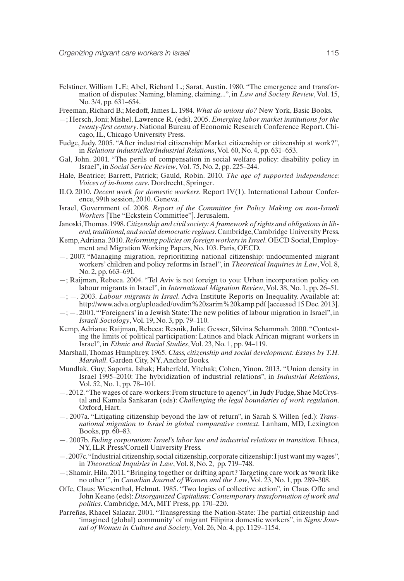Felstiner, William L.F.; Abel, Richard L.; Sarat, Austin. 1980. "The emergence and transformation of disputes: Naming, blaming, claiming...", in *Law and Society Review*, Vol. 15, No. 3/4, pp. 631–654.

Freeman, Richard B.; Medoff, James L. 1984. *What do unions do?* New York, Basic Books.

- —; Hersch, Joni; Mishel, Lawrence R. (eds). 2005. *Emerging labor market institutions for the twenty-first century*. National Bureau of Economic Research Conference Report. Chicago, IL, Chicago University Press.
- Fudge, Judy. 2005. "After industrial citizenship: Market citizenship or citizenship at work?", in *Relations industrielles/Industrial Relations*, Vol. 60, No. 4, pp. 631–653.
- Gal, John. 2001. "The perils of compensation in social welfare policy: disability policy in Israel", in *Social Service Review*, Vol. 75, No. 2, pp. 225–244.
- Hale, Beatrice; Barrett, Patrick; Gauld, Robin. 2010. *The age of supported independence: Voices of in-home care*. Dordrecht, Springer.
- ILO. 2010. *Decent work for domestic workers*. Report IV(1). International Labour Conference, 99th session, 2010. Geneva.
- Israel, Government of. 2008. *Report of the Committee for Policy Making on non-Israeli Workers* [The "Eckstein Committee"]. Jerusalem.
- Janoski, Thomas. 1998. *Citizenship and civil society: A framework of rights and obligations in liberal, traditional, and social democratic regimes*. Cambridge, Cambridge University Press.
- Kemp, Adriana. 2010. *Reforming policies on foreign workers in Israel*. OECD Social, Employment and Migration Working Papers, No. 103. Paris, OECD.
- —. 2007. "Managing migration, reprioritizing national citizenship: undocumented migrant workers' children and policy reforms in Israel", in *Theoretical Inquiries in Law*, Vol. 8, No. 2, pp. 663–691.
- —; Raijman, Rebeca. 2004. "Tel Aviv is not foreign to you: Urban incorporation policy on labour migrants in Israel", in *International Migration Review*, Vol. 38, No. 1, pp. 26–51.
- —; —. 2003. *Labour migrants in Israel*. Adva Institute Reports on Inequality. Available at: http://www.adva.org/uploaded/ovdim%20zarim%20kamp.pdf [accessed 15 Dec. 2013].
- —; —. 2001. "'Foreigners' in a Jewish State: The new politics of labour migration in Israel", in *Israeli Sociology*, Vol. 19, No. 3, pp. 79–110.
- Kemp, Adriana; Raijman, Rebeca; Resnik, Julia; Gesser, Silvina Schammah. 2000. "Contesting the limits of political participation: Latinos and black African migrant workers in Israel", in *Ethnic and Racial Studies*, Vol. 23, No. 1, pp. 94–119.
- Marshall, Thomas Humphrey. 1965. *Class, citizenship and social development: Essays by T.H. Marshall*. Garden City, NY, Anchor Books.
- Mundlak, Guy; Saporta, Ishak; Haberfeld, Yitchak; Cohen, Yinon. 2013. "Union density in Israel 1995–2010: The hybridization of industrial relations", in *Industrial Relations*, Vol. 52, No. 1, pp. 78–101.
- —. 2012. "The wages of care-workers: From structure to agency", in Judy Fudge, Shae McCrystal and Kamala Sankaran (eds): *Challenging the legal boundaries of work regulation*. Oxford, Hart.
- —. 2007a. "Litigating citizenship beyond the law of return", in Sarah S. Willen (ed.): *Transnational migration to Israel in global comparative context*. Lanham, MD, Lexington Books, pp. 60–83.
- —. 2007b. *Fading corporatism: Israel's labor law and industrial relations in transition*. Ithaca, NY, ILR Press/Cornell University Press.
- —. 2007c. "Industrial citizenship, social citizenship, corporate citizenship: I just want my wages", in *Theoretical Inquiries in Law*, Vol. 8, No. 2, pp. 719–748.
- —; Shamir, Hila. 2011. "Bringing together or drifting apart? Targeting care work as 'work like no other'", in *Canadian Journal of Women and the Law*, Vol. 23, No. 1, pp. 289–308.
- Offe, Claus; Wiesenthal, Helmut. 1985. "Two logics of collective action", in Claus Offe and John Keane (eds): *Disorganized Capitalism: Contemporary transformation of work and politics*. Cambridge, MA, MIT Press, pp. 170–220.
- Parreñas, Rhacel Salazar. 2001. "Transgressing the Nation-State: The partial citizenship and 'imagined (global) community' of migrant Filipina domestic workers", in *Signs: Journal of Women in Culture and Society*, Vol. 26, No. 4, pp. 1129–1154.